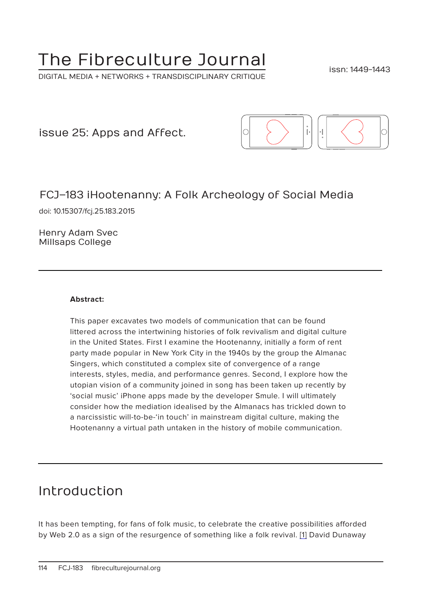# The Fibreculture Journal

DIGITAL MEDIA + NETWORKS + TRANSDISCIPLINARY CRITIQUE

issn: 1449-1443

issue 25: Apps and Affect.



## FCJ–183 iHootenanny: A Folk Archeology of Social Media

doi: 10.15307/fcj.25.183.2015

Henry Adam Svec Millsaps College

#### **Abstract:**

This paper excavates two models of communication that can be found littered across the intertwining histories of folk revivalism and digital culture in the United States. First I examine the Hootenanny, initially a form of rent party made popular in New York City in the 1940s by the group the Almanac Singers, which constituted a complex site of convergence of a range interests, styles, media, and performance genres. Second, I explore how the utopian vision of a community joined in song has been taken up recently by 'social music' iPhone apps made by the developer Smule. I will ultimately consider how the mediation idealised by the Almanacs has trickled down to a narcissistic will-to-be-'in touch' in mainstream digital culture, making the Hootenanny a virtual path untaken in the history of mobile communication.

## Introduction

It has been tempting, for fans of folk music, to celebrate the creative possibilities afforded by Web 2.0 as a sign of the resurgence of something like a folk revival. [1] David Dunaway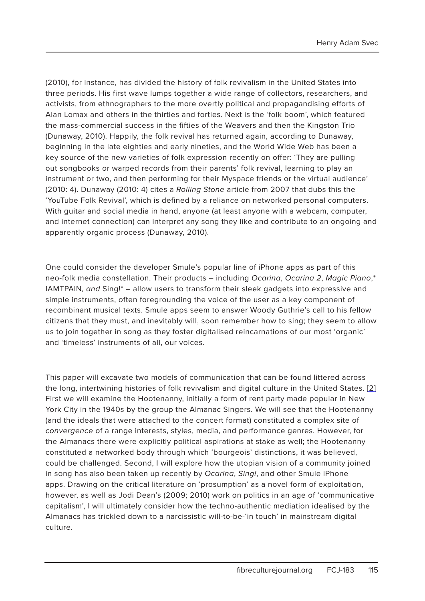(2010), for instance, has divided the history of folk revivalism in the United States into three periods. His first wave lumps together a wide range of collectors, researchers, and activists, from ethnographers to the more overtly political and propagandising efforts of Alan Lomax and others in the thirties and forties. Next is the 'folk boom', which featured the mass-commercial success in the fifties of the Weavers and then the Kingston Trio (Dunaway, 2010). Happily, the folk revival has returned again, according to Dunaway, beginning in the late eighties and early nineties, and the World Wide Web has been a key source of the new varieties of folk expression recently on offer: 'They are pulling out songbooks or warped records from their parents' folk revival, learning to play an instrument or two, and then performing for their Myspace friends or the virtual audience' (2010: 4). Dunaway (2010: 4) cites a Rolling Stone article from 2007 that dubs this the 'YouTube Folk Revival', which is defined by a reliance on networked personal computers. With guitar and social media in hand, anyone (at least anyone with a webcam, computer, and internet connection) can interpret any song they like and contribute to an ongoing and apparently organic process (Dunaway, 2010).

One could consider the developer Smule's popular line of iPhone apps as part of this neo-folk media constellation. Their products - including Ocarina, Ocarina 2, Magic Piano,\* IAMTPAIN, and Sing!\* - allow users to transform their sleek gadgets into expressive and simple instruments, often foregrounding the voice of the user as a key component of recombinant musical texts. Smule apps seem to answer Woody Guthrie's call to his fellow citizens that they must, and inevitably will, soon remember how to sing; they seem to allow us to join together in song as they foster digitalised reincarnations of our most 'organic' and 'timeless' instruments of all, our voices.

This paper will excavate two models of communication that can be found littered across the long, intertwining histories of folk revivalism and digital culture in the United States. [2] First we will examine the Hootenanny, initially a form of rent party made popular in New York City in the 1940s by the group the Almanac Singers. We will see that the Hootenanny (and the ideals that were attached to the concert format) constituted a complex site of convergence of a range interests, styles, media, and performance genres. However, for the Almanacs there were explicitly political aspirations at stake as well; the Hootenanny constituted a networked body through which 'bourgeois' distinctions, it was believed, could be challenged. Second, I will explore how the utopian vision of a community joined in song has also been taken up recently by Ocarina, Sing!, and other Smule iPhone apps. Drawing on the critical literature on 'prosumption' as a novel form of exploitation, however, as well as Jodi Dean's (2009; 2010) work on politics in an age of 'communicative capitalism', I will ultimately consider how the techno-authentic mediation idealised by the Almanacs has trickled down to a narcissistic will-to-be-'in touch' in mainstream digital culture.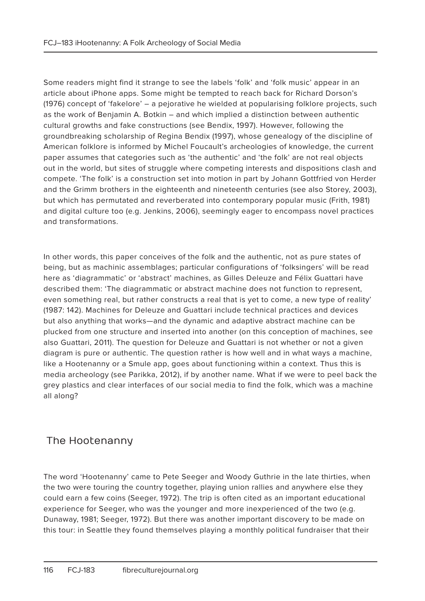Some readers might find it strange to see the labels 'folk' and 'folk music' appear in an article about iPhone apps. Some might be tempted to reach back for Richard Dorson's (1976) concept of 'fakelore' – a pejorative he wielded at popularising folklore projects, such as the work of Benjamin A. Botkin – and which implied a distinction between authentic cultural growths and fake constructions (see Bendix, 1997). However, following the groundbreaking scholarship of Regina Bendix (1997), whose genealogy of the discipline of American folklore is informed by Michel Foucault's archeologies of knowledge, the current paper assumes that categories such as 'the authentic' and 'the folk' are not real objects out in the world, but sites of struggle where competing interests and dispositions clash and compete. 'The folk' is a construction set into motion in part by Johann Gottfried von Herder and the Grimm brothers in the eighteenth and nineteenth centuries (see also Storey, 2003), but which has permutated and reverberated into contemporary popular music (Frith, 1981) and digital culture too (e.g. Jenkins, 2006), seemingly eager to encompass novel practices and transformations.

In other words, this paper conceives of the folk and the authentic, not as pure states of being, but as machinic assemblages; particular configurations of 'folksingers' will be read here as 'diagrammatic' or 'abstract' machines, as Gilles Deleuze and Félix Guattari have described them: 'The diagrammatic or abstract machine does not function to represent, even something real, but rather constructs a real that is yet to come, a new type of reality' (1987: 142). Machines for Deleuze and Guattari include technical practices and devices but also anything that works—and the dynamic and adaptive abstract machine can be plucked from one structure and inserted into another (on this conception of machines, see also Guattari, 2011). The question for Deleuze and Guattari is not whether or not a given diagram is pure or authentic. The question rather is how well and in what ways a machine, like a Hootenanny or a Smule app, goes about functioning within a context. Thus this is media archeology (see Parikka, 2012), if by another name. What if we were to peel back the grey plastics and clear interfaces of our social media to find the folk, which was a machine all along?

## The Hootenanny

The word 'Hootenanny' came to Pete Seeger and Woody Guthrie in the late thirties, when the two were touring the country together, playing union rallies and anywhere else they could earn a few coins (Seeger, 1972). The trip is often cited as an important educational experience for Seeger, who was the younger and more inexperienced of the two (e.g. Dunaway, 1981; Seeger, 1972). But there was another important discovery to be made on this tour: in Seattle they found themselves playing a monthly political fundraiser that their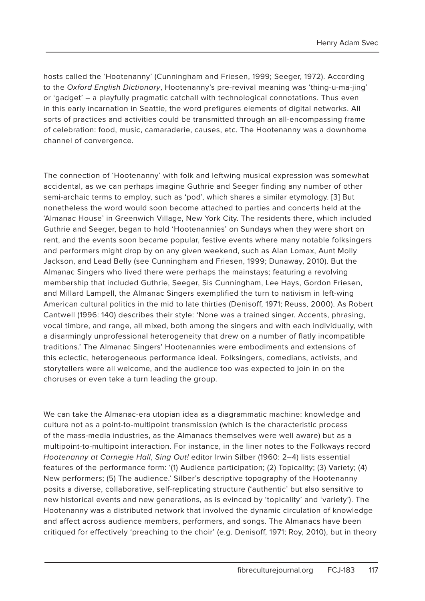hosts called the 'Hootenanny' (Cunningham and Friesen, 1999; Seeger, 1972). According to the Oxford English Dictionary, Hootenanny's pre-revival meaning was 'thing-u-ma-jing' or 'gadget' – a playfully pragmatic catchall with technological connotations. Thus even in this early incarnation in Seattle, the word prefigures elements of digital networks. All sorts of practices and activities could be transmitted through an all-encompassing frame of celebration: food, music, camaraderie, causes, etc. The Hootenanny was a downhome channel of convergence.

The connection of 'Hootenanny' with folk and leftwing musical expression was somewhat accidental, as we can perhaps imagine Guthrie and Seeger finding any number of other semi-archaic terms to employ, such as 'pod', which shares a similar etymology. [3] But nonetheless the word would soon become attached to parties and concerts held at the 'Almanac House' in Greenwich Village, New York City. The residents there, which included Guthrie and Seeger, began to hold 'Hootenannies' on Sundays when they were short on rent, and the events soon became popular, festive events where many notable folksingers and performers might drop by on any given weekend, such as Alan Lomax, Aunt Molly Jackson, and Lead Belly (see Cunningham and Friesen, 1999; Dunaway, 2010). But the Almanac Singers who lived there were perhaps the mainstays; featuring a revolving membership that included Guthrie, Seeger, Sis Cunningham, Lee Hays, Gordon Friesen, and Millard Lampell, the Almanac Singers exemplified the turn to nativism in left-wing American cultural politics in the mid to late thirties (Denisoff, 1971; Reuss, 2000). As Robert Cantwell (1996: 140) describes their style: 'None was a trained singer. Accents, phrasing, vocal timbre, and range, all mixed, both among the singers and with each individually, with a disarmingly unprofessional heterogeneity that drew on a number of flatly incompatible traditions.' The Almanac Singers' Hootenannies were embodiments and extensions of this eclectic, heterogeneous performance ideal. Folksingers, comedians, activists, and storytellers were all welcome, and the audience too was expected to join in on the choruses or even take a turn leading the group.

We can take the Almanac-era utopian idea as a diagrammatic machine: knowledge and culture not as a point-to-multipoint transmission (which is the characteristic process of the mass-media industries, as the Almanacs themselves were well aware) but as a multipoint-to-multipoint interaction. For instance, in the liner notes to the Folkways record Hootenanny at Carnegie Hall, Sing Out! editor Irwin Silber (1960: 2–4) lists essential features of the performance form: '(1) Audience participation; (2) Topicality; (3) Variety; (4) New performers; (5) The audience.' Silber's descriptive topography of the Hootenanny posits a diverse, collaborative, self-replicating structure ('authentic' but also sensitive to new historical events and new generations, as is evinced by 'topicality' and 'variety'). The Hootenanny was a distributed network that involved the dynamic circulation of knowledge and affect across audience members, performers, and songs. The Almanacs have been critiqued for effectively 'preaching to the choir' (e.g. Denisoff, 1971; Roy, 2010), but in theory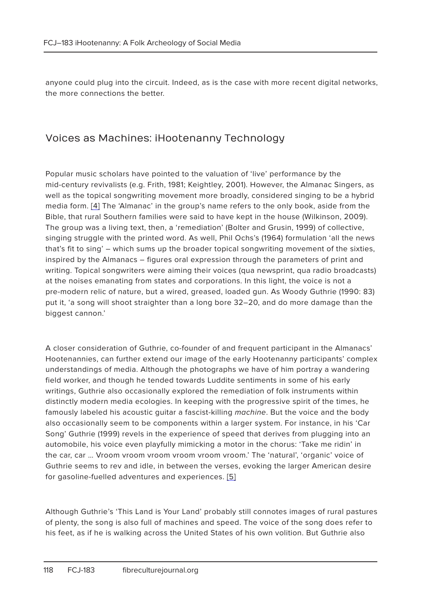anyone could plug into the circuit. Indeed, as is the case with more recent digital networks, the more connections the better.

#### Voices as Machines: iHootenanny Technology

Popular music scholars have pointed to the valuation of 'live' performance by the mid-century revivalists (e.g. Frith, 1981; Keightley, 2001). However, the Almanac Singers, as well as the topical songwriting movement more broadly, considered singing to be a hybrid media form. [4] The 'Almanac' in the group's name refers to the only book, aside from the Bible, that rural Southern families were said to have kept in the house (Wilkinson, 2009). The group was a living text, then, a 'remediation' (Bolter and Grusin, 1999) of collective, singing struggle with the printed word. As well, Phil Ochs's (1964) formulation 'all the news that's fit to sing' – which sums up the broader topical songwriting movement of the sixties, inspired by the Almanacs – figures oral expression through the parameters of print and writing. Topical songwriters were aiming their voices (qua newsprint, qua radio broadcasts) at the noises emanating from states and corporations. In this light, the voice is not a pre-modern relic of nature, but a wired, greased, loaded gun. As Woody Guthrie (1990: 83) put it, 'a song will shoot straighter than a long bore 32–20, and do more damage than the biggest cannon.'

A closer consideration of Guthrie, co-founder of and frequent participant in the Almanacs' Hootenannies, can further extend our image of the early Hootenanny participants' complex understandings of media. Although the photographs we have of him portray a wandering field worker, and though he tended towards Luddite sentiments in some of his early writings, Guthrie also occasionally explored the remediation of folk instruments within distinctly modern media ecologies. In keeping with the progressive spirit of the times, he famously labeled his acoustic quitar a fascist-killing machine. But the voice and the body also occasionally seem to be components within a larger system. For instance, in his 'Car Song' Guthrie (1999) revels in the experience of speed that derives from plugging into an automobile, his voice even playfully mimicking a motor in the chorus: 'Take me ridin' in the car, car … Vroom vroom vroom vroom vroom vroom.' The 'natural', 'organic' voice of Guthrie seems to rev and idle, in between the verses, evoking the larger American desire for gasoline-fuelled adventures and experiences. [5]

Although Guthrie's 'This Land is Your Land' probably still connotes images of rural pastures of plenty, the song is also full of machines and speed. The voice of the song does refer to his feet, as if he is walking across the United States of his own volition. But Guthrie also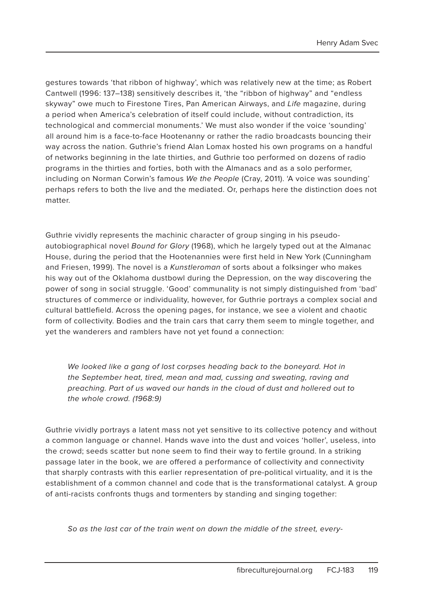gestures towards 'that ribbon of highway', which was relatively new at the time; as Robert Cantwell (1996: 137–138) sensitively describes it, 'the "ribbon of highway" and "endless skyway" owe much to Firestone Tires, Pan American Airways, and Life magazine, during a period when America's celebration of itself could include, without contradiction, its technological and commercial monuments.' We must also wonder if the voice 'sounding' all around him is a face-to-face Hootenanny or rather the radio broadcasts bouncing their way across the nation. Guthrie's friend Alan Lomax hosted his own programs on a handful of networks beginning in the late thirties, and Guthrie too performed on dozens of radio programs in the thirties and forties, both with the Almanacs and as a solo performer, including on Norman Corwin's famous We the People (Cray, 2011). 'A voice was sounding' perhaps refers to both the live and the mediated. Or, perhaps here the distinction does not matter.

Guthrie vividly represents the machinic character of group singing in his pseudoautobiographical novel Bound for Glory (1968), which he largely typed out at the Almanac House, during the period that the Hootenannies were first held in New York (Cunningham and Friesen, 1999). The novel is a Kunstleroman of sorts about a folksinger who makes his way out of the Oklahoma dustbowl during the Depression, on the way discovering the power of song in social struggle. 'Good' communality is not simply distinguished from 'bad' structures of commerce or individuality, however, for Guthrie portrays a complex social and cultural battlefield. Across the opening pages, for instance, we see a violent and chaotic form of collectivity. Bodies and the train cars that carry them seem to mingle together, and yet the wanderers and ramblers have not yet found a connection:

We looked like a gang of lost corpses heading back to the boneyard. Hot in the September heat, tired, mean and mad, cussing and sweating, raving and preaching. Part of us waved our hands in the cloud of dust and hollered out to the whole crowd. (1968:9)

Guthrie vividly portrays a latent mass not yet sensitive to its collective potency and without a common language or channel. Hands wave into the dust and voices 'holler', useless, into the crowd; seeds scatter but none seem to find their way to fertile ground. In a striking passage later in the book, we are offered a performance of collectivity and connectivity that sharply contrasts with this earlier representation of pre-political virtuality, and it is the establishment of a common channel and code that is the transformational catalyst. A group of anti-racists confronts thugs and tormenters by standing and singing together:

So as the last car of the train went on down the middle of the street, every-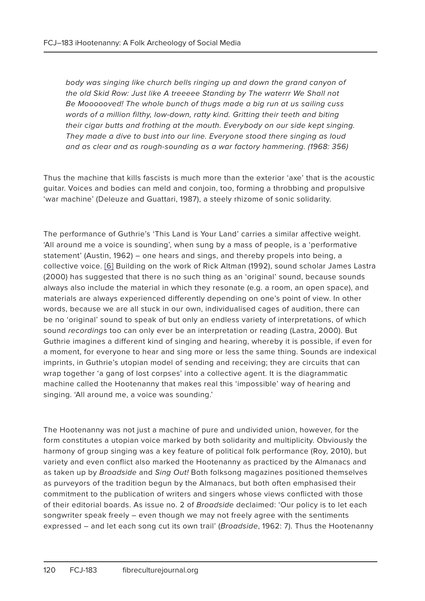body was singing like church bells ringing up and down the grand canyon of the old Skid Row: Just like A treeeee Standing by The waterrr We Shall not Be Moooooved! The whole bunch of thugs made a big run at us sailing cuss words of a million filthy, low-down, ratty kind. Gritting their teeth and biting their cigar butts and frothing at the mouth. Everybody on our side kept singing. They made a dive to bust into our line. Everyone stood there singing as loud and as clear and as rough-sounding as a war factory hammering. (1968: 356)

Thus the machine that kills fascists is much more than the exterior 'axe' that is the acoustic guitar. Voices and bodies can meld and conjoin, too, forming a throbbing and propulsive 'war machine' (Deleuze and Guattari, 1987), a steely rhizome of sonic solidarity.

The performance of Guthrie's 'This Land is Your Land' carries a similar affective weight. 'All around me a voice is sounding', when sung by a mass of people, is a 'performative statement' (Austin, 1962) – one hears and sings, and thereby propels into being, a collective voice. [6] Building on the work of Rick Altman (1992), sound scholar James Lastra (2000) has suggested that there is no such thing as an 'original' sound, because sounds always also include the material in which they resonate (e.g. a room, an open space), and materials are always experienced differently depending on one's point of view. In other words, because we are all stuck in our own, individualised cages of audition, there can be no 'original' sound to speak of but only an endless variety of interpretations, of which sound recordings too can only ever be an interpretation or reading (Lastra, 2000). But Guthrie imagines a different kind of singing and hearing, whereby it is possible, if even for a moment, for everyone to hear and sing more or less the same thing. Sounds are indexical imprints, in Guthrie's utopian model of sending and receiving; they are circuits that can wrap together 'a gang of lost corpses' into a collective agent. It is the diagrammatic machine called the Hootenanny that makes real this 'impossible' way of hearing and singing. 'All around me, a voice was sounding.'

The Hootenanny was not just a machine of pure and undivided union, however, for the form constitutes a utopian voice marked by both solidarity and multiplicity. Obviously the harmony of group singing was a key feature of political folk performance (Roy, 2010), but variety and even conflict also marked the Hootenanny as practiced by the Almanacs and as taken up by *Broadside* and *Sing Out!* Both folksong magazines positioned themselves as purveyors of the tradition begun by the Almanacs, but both often emphasised their commitment to the publication of writers and singers whose views conflicted with those of their editorial boards. As issue no. 2 of Broadside declaimed: 'Our policy is to let each songwriter speak freely – even though we may not freely agree with the sentiments expressed – and let each song cut its own trail' (Broadside, 1962: 7). Thus the Hootenanny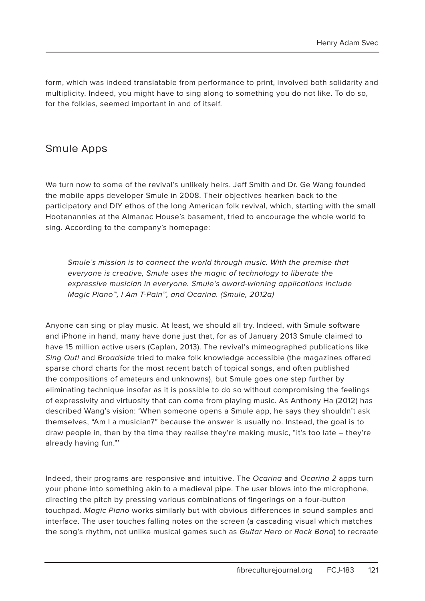form, which was indeed translatable from performance to print, involved both solidarity and multiplicity. Indeed, you might have to sing along to something you do not like. To do so, for the folkies, seemed important in and of itself.

#### Smule Apps

We turn now to some of the revival's unlikely heirs. Jeff Smith and Dr. Ge Wang founded the mobile apps developer Smule in 2008. Their objectives hearken back to the participatory and DIY ethos of the long American folk revival, which, starting with the small Hootenannies at the Almanac House's basement, tried to encourage the whole world to sing. According to the company's homepage:

Smule's mission is to connect the world through music. With the premise that everyone is creative, Smule uses the magic of technology to liberate the expressive musician in everyone. Smule's award-winning applications include Magic Piano™, I Am T-Pain™, and Ocarina. (Smule, 2012a)

Anyone can sing or play music. At least, we should all try. Indeed, with Smule software and iPhone in hand, many have done just that, for as of January 2013 Smule claimed to have 15 million active users (Caplan, 2013). The revival's mimeographed publications like Sing Out! and Broadside tried to make folk knowledge accessible (the magazines offered sparse chord charts for the most recent batch of topical songs, and often published the compositions of amateurs and unknowns), but Smule goes one step further by eliminating technique insofar as it is possible to do so without compromising the feelings of expressivity and virtuosity that can come from playing music. As Anthony Ha (2012) has described Wang's vision: 'When someone opens a Smule app, he says they shouldn't ask themselves, "Am I a musician?" because the answer is usually no. Instead, the goal is to draw people in, then by the time they realise they're making music, "it's too late – they're already having fun."'

Indeed, their programs are responsive and intuitive. The Ocarina and Ocarina 2 apps turn your phone into something akin to a medieval pipe. The user blows into the microphone, directing the pitch by pressing various combinations of fingerings on a four-button touchpad. Magic Piano works similarly but with obvious differences in sound samples and interface. The user touches falling notes on the screen (a cascading visual which matches the song's rhythm, not unlike musical games such as Guitar Hero or Rock Band) to recreate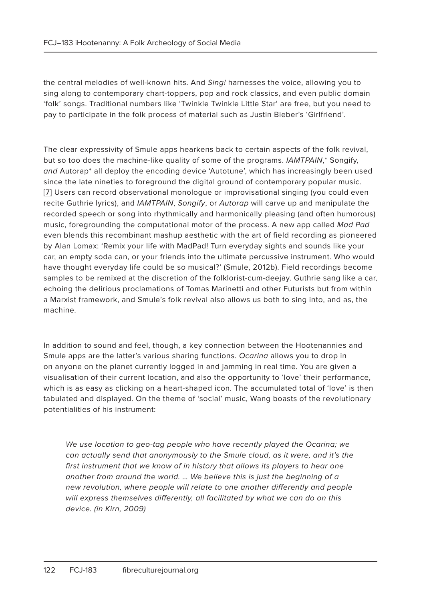the central melodies of well-known hits. And Sing! harnesses the voice, allowing you to sing along to contemporary chart-toppers, pop and rock classics, and even public domain 'folk' songs. Traditional numbers like 'Twinkle Twinkle Little Star' are free, but you need to pay to participate in the folk process of material such as Justin Bieber's 'Girlfriend'.

The clear expressivity of Smule apps hearkens back to certain aspects of the folk revival, but so too does the machine-like quality of some of the programs. IAMTPAIN,\* Songify, and Autorap\* all deploy the encoding device 'Autotune', which has increasingly been used since the late nineties to foreground the digital ground of contemporary popular music. [7] Users can record observational monologue or improvisational singing (you could even recite Guthrie lyrics), and IAMTPAIN, Songify, or Autorap will carve up and manipulate the recorded speech or song into rhythmically and harmonically pleasing (and often humorous) music, foregrounding the computational motor of the process. A new app called Mad Pad even blends this recombinant mashup aesthetic with the art of field recording as pioneered by Alan Lomax: 'Remix your life with MadPad! Turn everyday sights and sounds like your car, an empty soda can, or your friends into the ultimate percussive instrument. Who would have thought everyday life could be so musical?' (Smule, 2012b). Field recordings become samples to be remixed at the discretion of the folklorist-cum-deejay. Guthrie sang like a car, echoing the delirious proclamations of Tomas Marinetti and other Futurists but from within a Marxist framework, and Smule's folk revival also allows us both to sing into, and as, the machine.

In addition to sound and feel, though, a key connection between the Hootenannies and Smule apps are the latter's various sharing functions. Ocarina allows you to drop in on anyone on the planet currently logged in and jamming in real time. You are given a visualisation of their current location, and also the opportunity to 'love' their performance, which is as easy as clicking on a heart-shaped icon. The accumulated total of 'love' is then tabulated and displayed. On the theme of 'social' music, Wang boasts of the revolutionary potentialities of his instrument:

We use location to geo-tag people who have recently played the Ocarina; we can actually send that anonymously to the Smule cloud, as it were, and it's the first instrument that we know of in history that allows its players to hear one another from around the world. … We believe this is just the beginning of a new revolution, where people will relate to one another differently and people will express themselves differently, all facilitated by what we can do on this device. (in Kirn, 2009)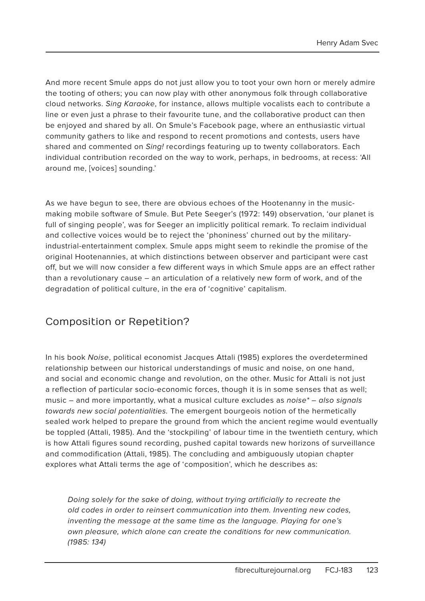And more recent Smule apps do not just allow you to toot your own horn or merely admire the tooting of others; you can now play with other anonymous folk through collaborative cloud networks. Sing Karaoke, for instance, allows multiple vocalists each to contribute a line or even just a phrase to their favourite tune, and the collaborative product can then be enjoyed and shared by all. On Smule's Facebook page, where an enthusiastic virtual community gathers to like and respond to recent promotions and contests, users have shared and commented on Sing! recordings featuring up to twenty collaborators. Each individual contribution recorded on the way to work, perhaps, in bedrooms, at recess: 'All around me, [voices] sounding.'

As we have begun to see, there are obvious echoes of the Hootenanny in the musicmaking mobile software of Smule. But Pete Seeger's (1972: 149) observation, 'our planet is full of singing people', was for Seeger an implicitly political remark. To reclaim individual and collective voices would be to reject the 'phoniness' churned out by the militaryindustrial-entertainment complex. Smule apps might seem to rekindle the promise of the original Hootenannies, at which distinctions between observer and participant were cast off, but we will now consider a few different ways in which Smule apps are an effect rather than a revolutionary cause – an articulation of a relatively new form of work, and of the degradation of political culture, in the era of 'cognitive' capitalism.

## Composition or Repetition?

In his book Noise, political economist Jacques Attali (1985) explores the overdetermined relationship between our historical understandings of music and noise, on one hand, and social and economic change and revolution, on the other. Music for Attali is not just a reflection of particular socio-economic forces, though it is in some senses that as well; music – and more importantly, what a musical culture excludes as *noise* $*$  – also signals towards new social potentialities. The emergent bourgeois notion of the hermetically sealed work helped to prepare the ground from which the ancient regime would eventually be toppled (Attali, 1985). And the 'stockpiling' of labour time in the twentieth century, which is how Attali figures sound recording, pushed capital towards new horizons of surveillance and commodification (Attali, 1985). The concluding and ambiguously utopian chapter explores what Attali terms the age of 'composition', which he describes as:

Doing solely for the sake of doing, without trying artificially to recreate the old codes in order to reinsert communication into them. Inventing new codes, inventing the message at the same time as the language. Playing for one's own pleasure, which alone can create the conditions for new communication. (1985: 134)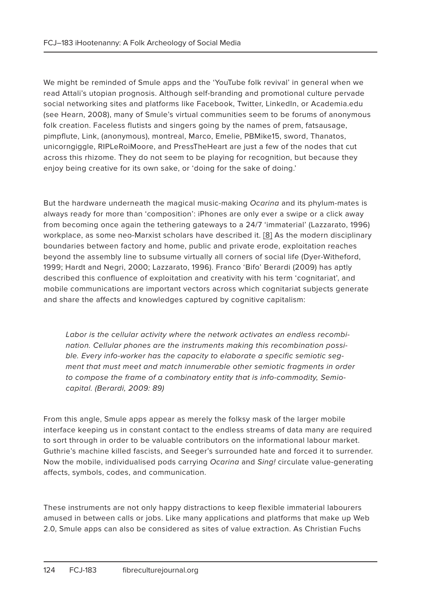We might be reminded of Smule apps and the 'YouTube folk revival' in general when we read Attali's utopian prognosis. Although self-branding and promotional culture pervade social networking sites and platforms like Facebook, Twitter, LinkedIn, or Academia.edu (see Hearn, 2008), many of Smule's virtual communities seem to be forums of anonymous folk creation. Faceless flutists and singers going by the names of prem, fatsausage, pimpflute, Link, (anonymous), montreal, Marco, Emelie, PBMike15, sword, Thanatos, unicorngiggle, RIPLeRoiMoore, and PressTheHeart are just a few of the nodes that cut across this rhizome. They do not seem to be playing for recognition, but because they enjoy being creative for its own sake, or 'doing for the sake of doing.'

But the hardware underneath the magical music-making Ocarina and its phylum-mates is always ready for more than 'composition': iPhones are only ever a swipe or a click away from becoming once again the tethering gateways to a 24/7 'immaterial' (Lazzarato, 1996) workplace, as some neo-Marxist scholars have described it. [8] As the modern disciplinary boundaries between factory and home, public and private erode, exploitation reaches beyond the assembly line to subsume virtually all corners of social life (Dyer-Witheford, 1999; Hardt and Negri, 2000; Lazzarato, 1996). Franco 'Bifo' Berardi (2009) has aptly described this confluence of exploitation and creativity with his term 'cognitariat', and mobile communications are important vectors across which cognitariat subjects generate and share the affects and knowledges captured by cognitive capitalism:

Labor is the cellular activity where the network activates an endless recombination. Cellular phones are the instruments making this recombination possible. Every info-worker has the capacity to elaborate a specific semiotic segment that must meet and match innumerable other semiotic fragments in order to compose the frame of a combinatory entity that is info-commodity, Semiocapital. (Berardi, 2009: 89)

From this angle, Smule apps appear as merely the folksy mask of the larger mobile interface keeping us in constant contact to the endless streams of data many are required to sort through in order to be valuable contributors on the informational labour market. Guthrie's machine killed fascists, and Seeger's surrounded hate and forced it to surrender. Now the mobile, individualised pods carrying Ocarina and Sing! circulate value-generating affects, symbols, codes, and communication.

These instruments are not only happy distractions to keep flexible immaterial labourers amused in between calls or jobs. Like many applications and platforms that make up Web 2.0, Smule apps can also be considered as sites of value extraction. As Christian Fuchs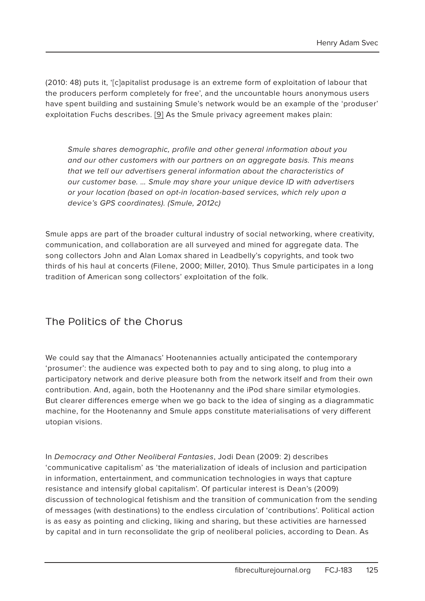(2010: 48) puts it, '[c]apitalist produsage is an extreme form of exploitation of labour that the producers perform completely for free', and the uncountable hours anonymous users have spent building and sustaining Smule's network would be an example of the 'produser' exploitation Fuchs describes. [9] As the Smule privacy agreement makes plain:

Smule shares demographic, profile and other general information about you and our other customers with our partners on an aggregate basis. This means that we tell our advertisers general information about the characteristics of our customer base. … Smule may share your unique device ID with advertisers or your location (based on opt-in location-based services, which rely upon a device's GPS coordinates). (Smule, 2012c)

Smule apps are part of the broader cultural industry of social networking, where creativity, communication, and collaboration are all surveyed and mined for aggregate data. The song collectors John and Alan Lomax shared in Leadbelly's copyrights, and took two thirds of his haul at concerts (Filene, 2000; Miller, 2010). Thus Smule participates in a long tradition of American song collectors' exploitation of the folk.

## The Politics of the Chorus

We could say that the Almanacs' Hootenannies actually anticipated the contemporary 'prosumer': the audience was expected both to pay and to sing along, to plug into a participatory network and derive pleasure both from the network itself and from their own contribution. And, again, both the Hootenanny and the iPod share similar etymologies. But clearer differences emerge when we go back to the idea of singing as a diagrammatic machine, for the Hootenanny and Smule apps constitute materialisations of very different utopian visions.

In Democracy and Other Neoliberal Fantasies, Jodi Dean (2009: 2) describes 'communicative capitalism' as 'the materialization of ideals of inclusion and participation in information, entertainment, and communication technologies in ways that capture resistance and intensify global capitalism'. Of particular interest is Dean's (2009) discussion of technological fetishism and the transition of communication from the sending of messages (with destinations) to the endless circulation of 'contributions'. Political action is as easy as pointing and clicking, liking and sharing, but these activities are harnessed by capital and in turn reconsolidate the grip of neoliberal policies, according to Dean. As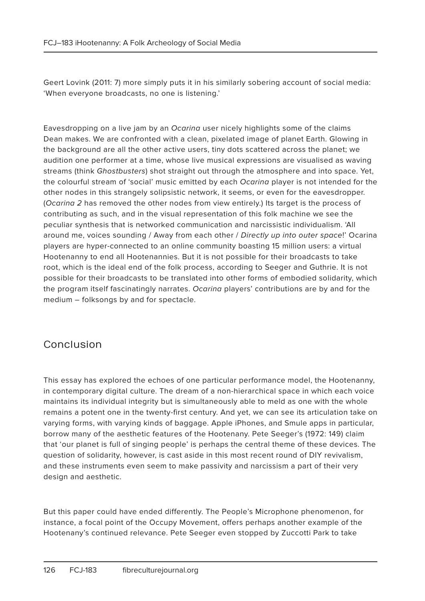Geert Lovink (2011: 7) more simply puts it in his similarly sobering account of social media: 'When everyone broadcasts, no one is listening.'

Eavesdropping on a live jam by an Ocarina user nicely highlights some of the claims Dean makes. We are confronted with a clean, pixelated image of planet Earth. Glowing in the background are all the other active users, tiny dots scattered across the planet; we audition one performer at a time, whose live musical expressions are visualised as waving streams (think Ghostbusters) shot straight out through the atmosphere and into space. Yet, the colourful stream of 'social' music emitted by each Ocarina player is not intended for the other nodes in this strangely solipsistic network, it seems, or even for the eavesdropper. (Ocarina 2 has removed the other nodes from view entirely.) Its target is the process of contributing as such, and in the visual representation of this folk machine we see the peculiar synthesis that is networked communication and narcissistic individualism. 'All around me, voices sounding / Away from each other / Directly up into outer space!' Ocarina players are hyper-connected to an online community boasting 15 million users: a virtual Hootenanny to end all Hootenannies. But it is not possible for their broadcasts to take root, which is the ideal end of the folk process, according to Seeger and Guthrie. It is not possible for their broadcasts to be translated into other forms of embodied solidarity, which the program itself fascinatingly narrates. Ocarina players' contributions are by and for the medium – folksongs by and for spectacle.

## Conclusion

This essay has explored the echoes of one particular performance model, the Hootenanny, in contemporary digital culture. The dream of a non-hierarchical space in which each voice maintains its individual integrity but is simultaneously able to meld as one with the whole remains a potent one in the twenty-first century. And yet, we can see its articulation take on varying forms, with varying kinds of baggage. Apple iPhones, and Smule apps in particular, borrow many of the aesthetic features of the Hootenany. Pete Seeger's (1972: 149) claim that 'our planet is full of singing people' is perhaps the central theme of these devices. The question of solidarity, however, is cast aside in this most recent round of DIY revivalism, and these instruments even seem to make passivity and narcissism a part of their very design and aesthetic.

But this paper could have ended differently. The People's Microphone phenomenon, for instance, a focal point of the Occupy Movement, offers perhaps another example of the Hootenany's continued relevance. Pete Seeger even stopped by Zuccotti Park to take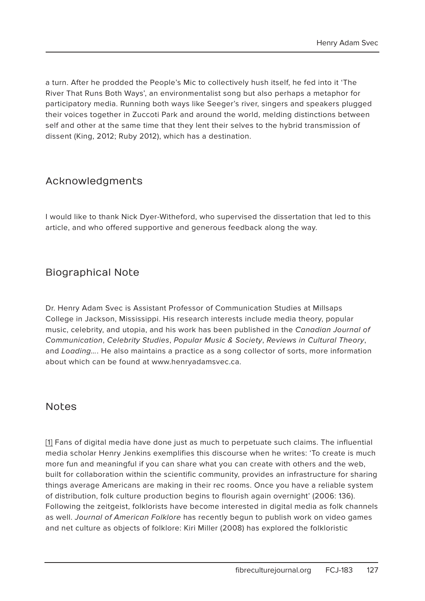a turn. After he prodded the People's Mic to collectively hush itself, he fed into it 'The River That Runs Both Ways', an environmentalist song but also perhaps a metaphor for participatory media. Running both ways like Seeger's river, singers and speakers plugged their voices together in Zuccoti Park and around the world, melding distinctions between self and other at the same time that they lent their selves to the hybrid transmission of dissent (King, 2012; Ruby 2012), which has a destination.

#### Acknowledgments

I would like to thank Nick Dyer-Witheford, who supervised the dissertation that led to this article, and who offered supportive and generous feedback along the way.

## Biographical Note

Dr. Henry Adam Svec is Assistant Professor of Communication Studies at Millsaps College in Jackson, Mississippi. His research interests include media theory, popular music, celebrity, and utopia, and his work has been published in the Canadian Journal of Communication, Celebrity Studies, Popular Music & Society, Reviews in Cultural Theory, and Loading.... He also maintains a practice as a song collector of sorts, more information about which can be found at www.henryadamsvec.ca.

#### **Notes**

[1] Fans of digital media have done just as much to perpetuate such claims. The influential media scholar Henry Jenkins exemplifies this discourse when he writes: 'To create is much more fun and meaningful if you can share what you can create with others and the web, built for collaboration within the scientific community, provides an infrastructure for sharing things average Americans are making in their rec rooms. Once you have a reliable system of distribution, folk culture production begins to flourish again overnight' (2006: 136). Following the zeitgeist, folklorists have become interested in digital media as folk channels as well. Journal of American Folklore has recently begun to publish work on video games and net culture as objects of folklore: Kiri Miller (2008) has explored the folkloristic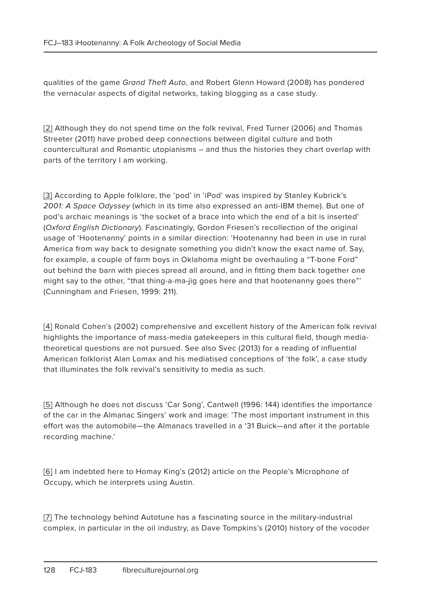qualities of the game Grand Theft Auto, and Robert Glenn Howard (2008) has pondered the vernacular aspects of digital networks, taking blogging as a case study.

[2] Although they do not spend time on the folk revival, Fred Turner (2006) and Thomas Streeter (2011) have probed deep connections between digital culture and both countercultural and Romantic utopianisms – and thus the histories they chart overlap with parts of the territory I am working.

[3] According to Apple folklore, the 'pod' in 'iPod' was inspired by Stanley Kubrick's 2001: A Space Odyssey (which in its time also expressed an anti-IBM theme). But one of pod's archaic meanings is 'the socket of a brace into which the end of a bit is inserted' (Oxford English Dictionary). Fascinatingly, Gordon Friesen's recollection of the original usage of 'Hootenanny' points in a similar direction: 'Hootenanny had been in use in rural America from way back to designate something you didn't know the exact name of. Say, for example, a couple of farm boys in Oklahoma might be overhauling a "T-bone Ford" out behind the barn with pieces spread all around, and in fitting them back together one might say to the other, "that thing-a-ma-jig goes here and that hootenanny goes there"' (Cunningham and Friesen, 1999: 211).

[4] Ronald Cohen's (2002) comprehensive and excellent history of the American folk revival highlights the importance of mass-media gatekeepers in this cultural field, though mediatheoretical questions are not pursued. See also Svec (2013) for a reading of influential American folklorist Alan Lomax and his mediatised conceptions of 'the folk', a case study that illuminates the folk revival's sensitivity to media as such.

[5] Although he does not discuss 'Car Song', Cantwell (1996: 144) identifies the importance of the car in the Almanac Singers' work and image: 'The most important instrument in this effort was the automobile—the Almanacs travelled in a '31 Buick—and after it the portable recording machine.'

[6] I am indebted here to Homay King's (2012) article on the People's Microphone of Occupy, which he interprets using Austin.

[7] The technology behind Autotune has a fascinating source in the military-industrial complex, in particular in the oil industry, as Dave Tompkins's (2010) history of the vocoder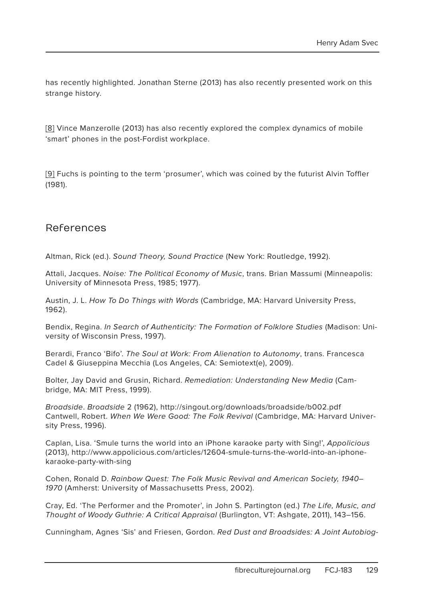has recently highlighted. Jonathan Sterne (2013) has also recently presented work on this strange history.

[8] Vince Manzerolle (2013) has also recently explored the complex dynamics of mobile 'smart' phones in the post-Fordist workplace.

[9] Fuchs is pointing to the term 'prosumer', which was coined by the futurist Alvin Toffler (1981).

#### References

Altman, Rick (ed.). Sound Theory, Sound Practice (New York: Routledge, 1992).

Attali, Jacques. Noise: The Political Economy of Music, trans. Brian Massumi (Minneapolis: University of Minnesota Press, 1985; 1977).

Austin, J. L. How To Do Things with Words (Cambridge, MA: Harvard University Press, 1962).

Bendix, Regina. In Search of Authenticity: The Formation of Folklore Studies (Madison: University of Wisconsin Press, 1997).

Berardi, Franco 'Bifo'. The Soul at Work: From Alienation to Autonomy, trans. Francesca Cadel & Giuseppina Mecchia (Los Angeles, CA: Semiotext(e), 2009).

Bolter, Jay David and Grusin, Richard. Remediation: Understanding New Media (Cambridge, MA: MIT Press, 1999).

Broadside. Broadside 2 (1962), http://singout.org/downloads/broadside/b002.pdf Cantwell, Robert. When We Were Good: The Folk Revival (Cambridge, MA: Harvard University Press, 1996).

Caplan, Lisa. 'Smule turns the world into an iPhone karaoke party with Sing!', Appolicious (2013), http://www.appolicious.com/articles/12604-smule-turns-the-world-into-an-iphonekaraoke-party-with-sing

Cohen, Ronald D. Rainbow Quest: The Folk Music Revival and American Society, 1940– 1970 (Amherst: University of Massachusetts Press, 2002).

Cray, Ed. 'The Performer and the Promoter', in John S. Partington (ed.) The Life, Music, and Thought of Woody Guthrie: A Critical Appraisal (Burlington, VT: Ashgate, 2011), 143–156.

Cunningham, Agnes 'Sis' and Friesen, Gordon. Red Dust and Broadsides: A Joint Autobiog-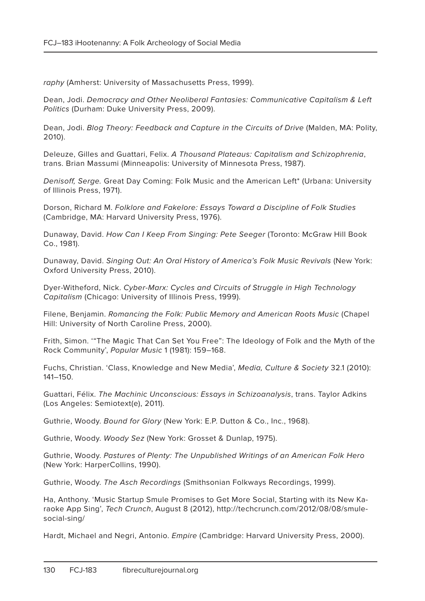raphy (Amherst: University of Massachusetts Press, 1999).

Dean, Jodi. Democracy and Other Neoliberal Fantasies: Communicative Capitalism & Left Politics (Durham: Duke University Press, 2009).

Dean, Jodi. Blog Theory: Feedback and Capture in the Circuits of Drive (Malden, MA: Polity, 2010).

Deleuze, Gilles and Guattari, Felix. A Thousand Plateaus: Capitalism and Schizophrenia, trans. Brian Massumi (Minneapolis: University of Minnesota Press, 1987).

Denisoff, Serge. Great Day Coming: Folk Music and the American Left\* (Urbana: University of Illinois Press, 1971).

Dorson, Richard M. Folklore and Fakelore: Essays Toward a Discipline of Folk Studies (Cambridge, MA: Harvard University Press, 1976).

Dunaway, David. How Can I Keep From Singing: Pete Seeger (Toronto: McGraw Hill Book Co., 1981).

Dunaway, David. Singing Out: An Oral History of America's Folk Music Revivals (New York: Oxford University Press, 2010).

Dyer-Witheford, Nick. Cyber-Marx: Cycles and Circuits of Struggle in High Technology Capitalism (Chicago: University of Illinois Press, 1999).

Filene, Benjamin. Romancing the Folk: Public Memory and American Roots Music (Chapel Hill: University of North Caroline Press, 2000).

Frith, Simon. '"The Magic That Can Set You Free": The Ideology of Folk and the Myth of the Rock Community', Popular Music 1 (1981): 159–168.

Fuchs, Christian. 'Class, Knowledge and New Media', Media, Culture & Society 32.1 (2010): 141–150.

Guattari, Félix. The Machinic Unconscious: Essays in Schizoanalysis, trans. Taylor Adkins (Los Angeles: Semiotext(e), 2011).

Guthrie, Woody. Bound for Glory (New York: E.P. Dutton & Co., Inc., 1968).

Guthrie, Woody. Woody Sez (New York: Grosset & Dunlap, 1975).

Guthrie, Woody. Pastures of Plenty: The Unpublished Writings of an American Folk Hero (New York: HarperCollins, 1990).

Guthrie, Woody. The Asch Recordings (Smithsonian Folkways Recordings, 1999).

Ha, Anthony. 'Music Startup Smule Promises to Get More Social, Starting with its New Karaoke App Sing', Tech Crunch, August 8 (2012), http://techcrunch.com/2012/08/08/smulesocial-sing/

Hardt, Michael and Negri, Antonio. Empire (Cambridge: Harvard University Press, 2000).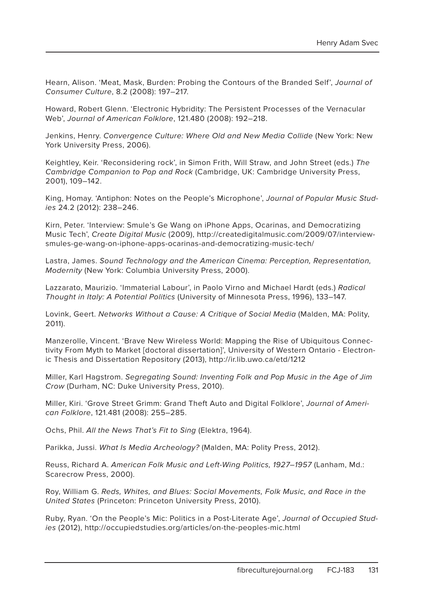Hearn, Alison. 'Meat, Mask, Burden: Probing the Contours of the Branded Self', Journal of Consumer Culture, 8.2 (2008): 197–217.

Howard, Robert Glenn. 'Electronic Hybridity: The Persistent Processes of the Vernacular Web', Journal of American Folklore, 121.480 (2008): 192–218.

Jenkins, Henry. Convergence Culture: Where Old and New Media Collide (New York: New York University Press, 2006).

Keightley, Keir. 'Reconsidering rock', in Simon Frith, Will Straw, and John Street (eds.) The Cambridge Companion to Pop and Rock (Cambridge, UK: Cambridge University Press, 2001), 109–142.

King, Homay. 'Antiphon: Notes on the People's Microphone', Journal of Popular Music Studies 24.2 (2012): 238–246.

Kirn, Peter. 'Interview: Smule's Ge Wang on iPhone Apps, Ocarinas, and Democratizing Music Tech', Create Digital Music (2009), http://createdigitalmusic.com/2009/07/interviewsmules-ge-wang-on-iphone-apps-ocarinas-and-democratizing-music-tech/

Lastra, James. Sound Technology and the American Cinema: Perception, Representation, Modernity (New York: Columbia University Press, 2000).

Lazzarato, Maurizio. 'Immaterial Labour', in Paolo Virno and Michael Hardt (eds.) Radical Thought in Italy: A Potential Politics (University of Minnesota Press, 1996), 133–147.

Lovink, Geert. Networks Without a Cause: A Critique of Social Media (Malden, MA: Polity, 2011).

Manzerolle, Vincent. 'Brave New Wireless World: Mapping the Rise of Ubiquitous Connectivity From Myth to Market [doctoral dissertation]', University of Western Ontario - Electronic Thesis and Dissertation Repository (2013), http://ir.lib.uwo.ca/etd/1212

Miller, Karl Hagstrom. Segregating Sound: Inventing Folk and Pop Music in the Age of Jim Crow (Durham, NC: Duke University Press, 2010).

Miller, Kiri. 'Grove Street Grimm: Grand Theft Auto and Digital Folklore', Journal of American Folklore, 121.481 (2008): 255–285.

Ochs, Phil. All the News That's Fit to Sing (Elektra, 1964).

Parikka, Jussi. What Is Media Archeology? (Malden, MA: Polity Press, 2012).

Reuss, Richard A. American Folk Music and Left-Wing Politics, 1927–1957 (Lanham, Md.: Scarecrow Press, 2000).

Roy, William G. Reds, Whites, and Blues: Social Movements, Folk Music, and Race in the United States (Princeton: Princeton University Press, 2010).

Ruby, Ryan. 'On the People's Mic: Politics in a Post-Literate Age', Journal of Occupied Studies (2012), http://occupiedstudies.org/articles/on-the-peoples-mic.html